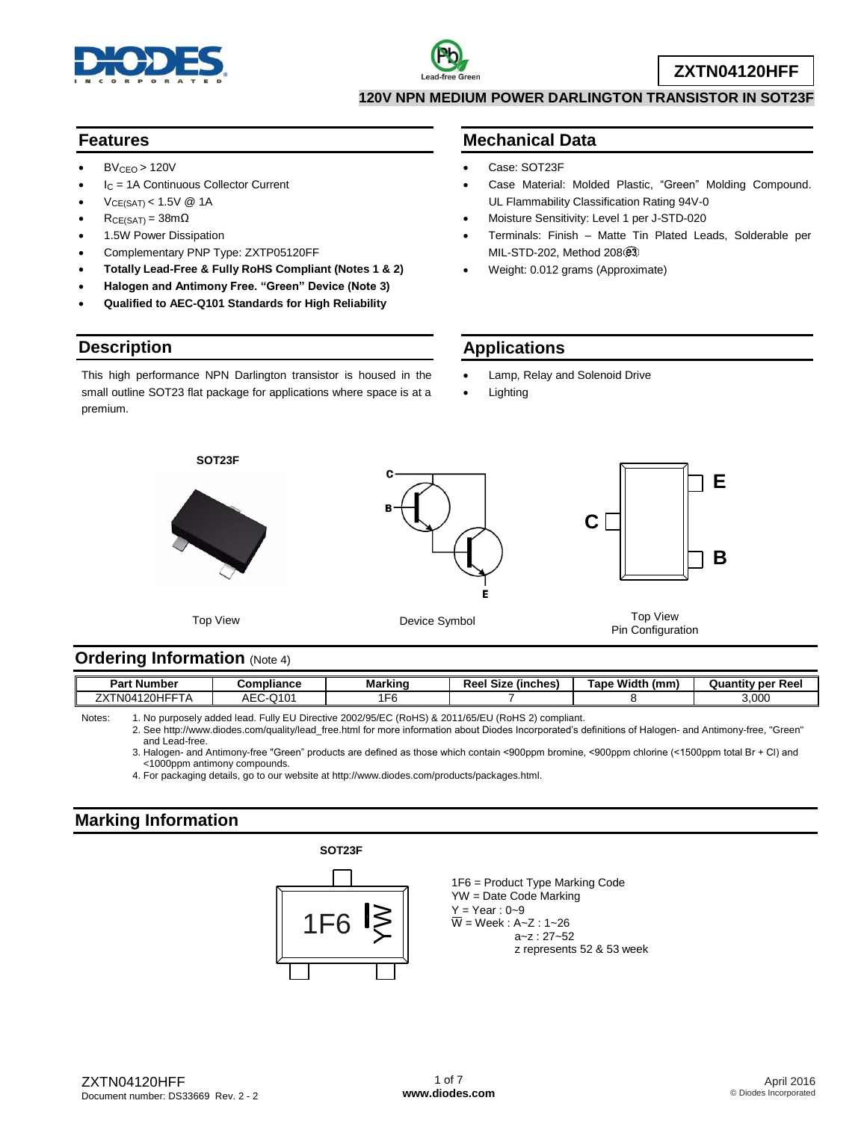



**ZXTN04120HFF**

**120V NPN MEDIUM POWER DARLINGTON TRANSISTOR IN SOT23F**

### **Features**

- $BV_{CFO} > 120V$
- $I<sub>C</sub>$  = 1A Continuous Collector Current
- VCE(SAT) < 1.5V @ 1A
- $R_{CE(SAT)} = 38m\Omega$
- 1.5W Power Dissipation
- Complementary PNP Type: ZXTP05120FF
- **Totally Lead-Free & Fully RoHS Compliant (Notes 1 & 2)**
- **Halogen and Antimony Free. "Green" Device (Note 3)**
- **Qualified to AEC-Q101 Standards for High Reliability**

## **Description**

This high performance NPN Darlington transistor is housed in the small outline SOT23 flat package for applications where space is at a premium.

## **Mechanical Data**

- Case: SOT23F
- Case Material: Molded Plastic, "Green" Molding Compound. UL Flammability Classification Rating 94V-0
- Moisture Sensitivity: Level 1 per J-STD-020
- Terminals: Finish Matte Tin Plated Leads, Solderable per MIL-STD-202, Method 208
- Weight: 0.012 grams (Approximate)

## **Applications**

- Lamp, Relay and Solenoid Drive
- Lighting



### **Ordering Information (Note 4)**

| ∍aו<br>Number                                         | ∶ompliance  | Markinc  | ומח<br>(inches)<br><b>Size</b><br>ו ספו | Width<br>™арс<br>(mm | Ree<br>v per<br>Quantity |
|-------------------------------------------------------|-------------|----------|-----------------------------------------|----------------------|--------------------------|
| フソナト<br>20H<br>. NP<br>$\boldsymbol{\mu}$<br>14<br>-- | Q10'<br>AEC | ►<br>. . |                                         |                      | 3,000                    |

Notes: 1. No purposely added lead. Fully EU Directive 2002/95/EC (RoHS) & 2011/65/EU (RoHS 2) compliant.

2. See [http://www.diodes.com/quality/lead\\_free.html](http://www.diodes.com/quality/lead_free.html) for more information about Diodes Incorporated's definitions of Halogen- and Antimony-free, "Green" and Lead-free.

3. Halogen- and Antimony-free "Green" products are defined as those which contain <900ppm bromine, <900ppm chlorine (<1500ppm total Br + Cl) and <1000ppm antimony compounds.

4. For packaging details, go to our website at [http://www.diodes.com/products/packages.html.](http://www.diodes.com/products/packages.html)

# **Marking Information**





1F6 = Product Type Marking Code YW = Date Code Marking  $Y = Year : 0-9$  $\overline{W}$  = Week : A~Z : 1~26 a~z : 27~52 z represents 52 & 53 week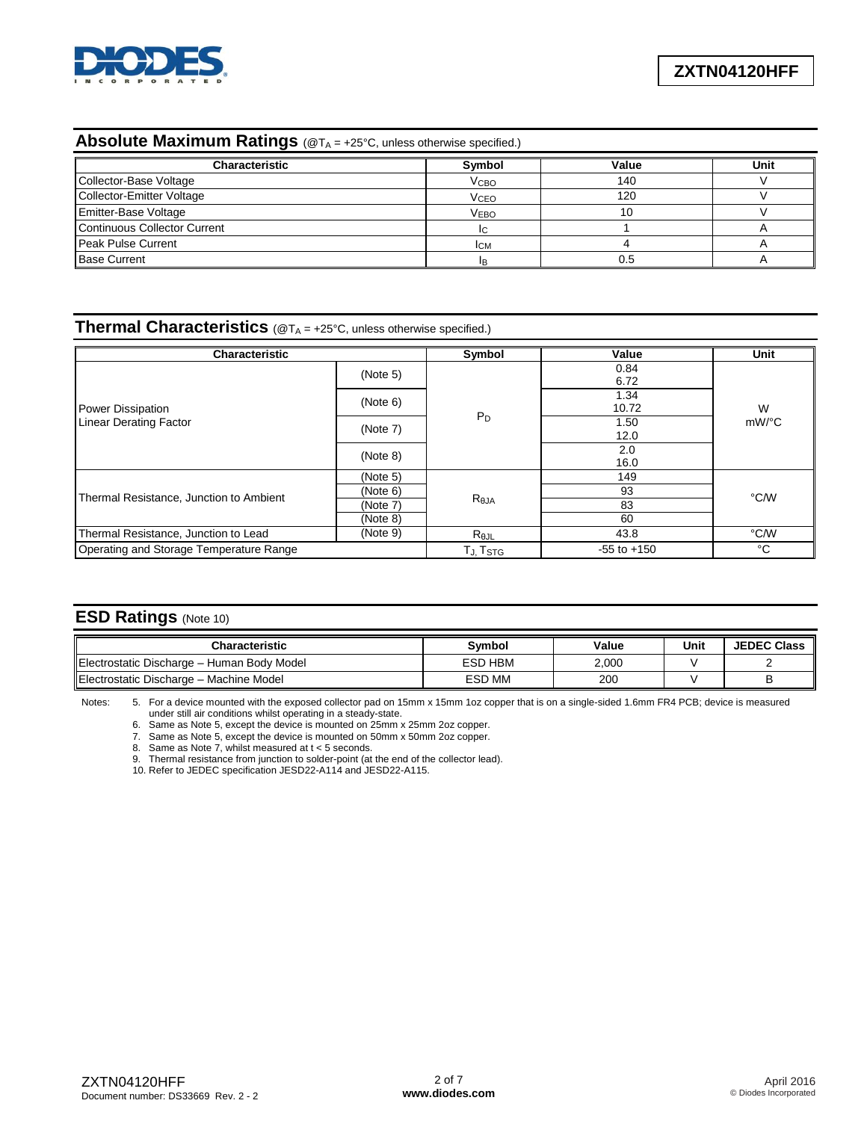

# **Absolute Maximum Ratings** (@T<sub>A</sub> = +25°C, unless otherwise specified.)

| <b>Characteristic</b>        | Symbol                 | Value | Unit |
|------------------------------|------------------------|-------|------|
| Collector-Base Voltage       | <b>V<sub>CВО</sub></b> | 140   |      |
| Collector-Emitter Voltage    | <b>V<sub>CEO</sub></b> | 120   |      |
| Emitter-Base Voltage         | <b>VEBO</b>            | 10    |      |
| Continuous Collector Current |                        |       |      |
| Peak Pulse Current           | <b>ICM</b>             |       |      |
| <b>Base Current</b>          |                        |       |      |

#### **Thermal Characteristics** (@T<sub>A</sub> = +25°C, unless otherwise specified.)

| <b>Characteristic</b>                   | Symbol               | Value           | Unit          |          |  |
|-----------------------------------------|----------------------|-----------------|---------------|----------|--|
|                                         | (Note 5)             |                 | 0.84<br>6.72  | W        |  |
| Power Dissipation                       | (Note 6)             |                 | 1.34<br>10.72 |          |  |
| <b>Linear Derating Factor</b>           | (Note 7)             | $P_D$           | 1.50<br>12.0  | $mW$ /°C |  |
|                                         | (Note 8)             |                 | 2.0<br>16.0   |          |  |
|                                         | (Note 5)             | 149             |               |          |  |
|                                         | (Note 6)             |                 | 93            | °C/W     |  |
| Thermal Resistance, Junction to Ambient | (Note 7)             | $R_{\theta$ JA  | 83            |          |  |
|                                         | (Note 8)             |                 | 60            |          |  |
| Thermal Resistance, Junction to Lead    | (Note 9)             | $R_{\theta$ JL  | 43.8          | °C/W     |  |
| Operating and Storage Temperature Range | TJ, T <sub>STG</sub> | $-55$ to $+150$ | °C            |          |  |

#### **ESD Ratings** (Note 10)

| <b>Characteristic</b>                      | <b>Symbol</b> | Value | Unit | <b>JEDEC Class</b> |
|--------------------------------------------|---------------|-------|------|--------------------|
| Electrostatic Discharge - Human Body Model | ESD HBM       | 2,000 |      |                    |
| llElectrostatic Discharge – Machine Model  | <b>ESD MM</b> | 200   |      |                    |

Notes: 5. For a device mounted with the exposed collector pad on 15mm x 15mm 1oz copper that is on a single-sided 1.6mm FR4 PCB; device is measured under still air conditions whilst operating in a steady-state.

6. Same as Note 5, except the device is mounted on 25mm x 25mm 2oz copper.

7. Same as Note 5, except the device is mounted on 50mm x 50mm 2oz copper.

8. Same as Note 7, whilst measured at t < 5 seconds.

9. Thermal resistance from junction to solder-point (at the end of the collector lead).

10. Refer to JEDEC specification JESD22-A114 and JESD22-A115.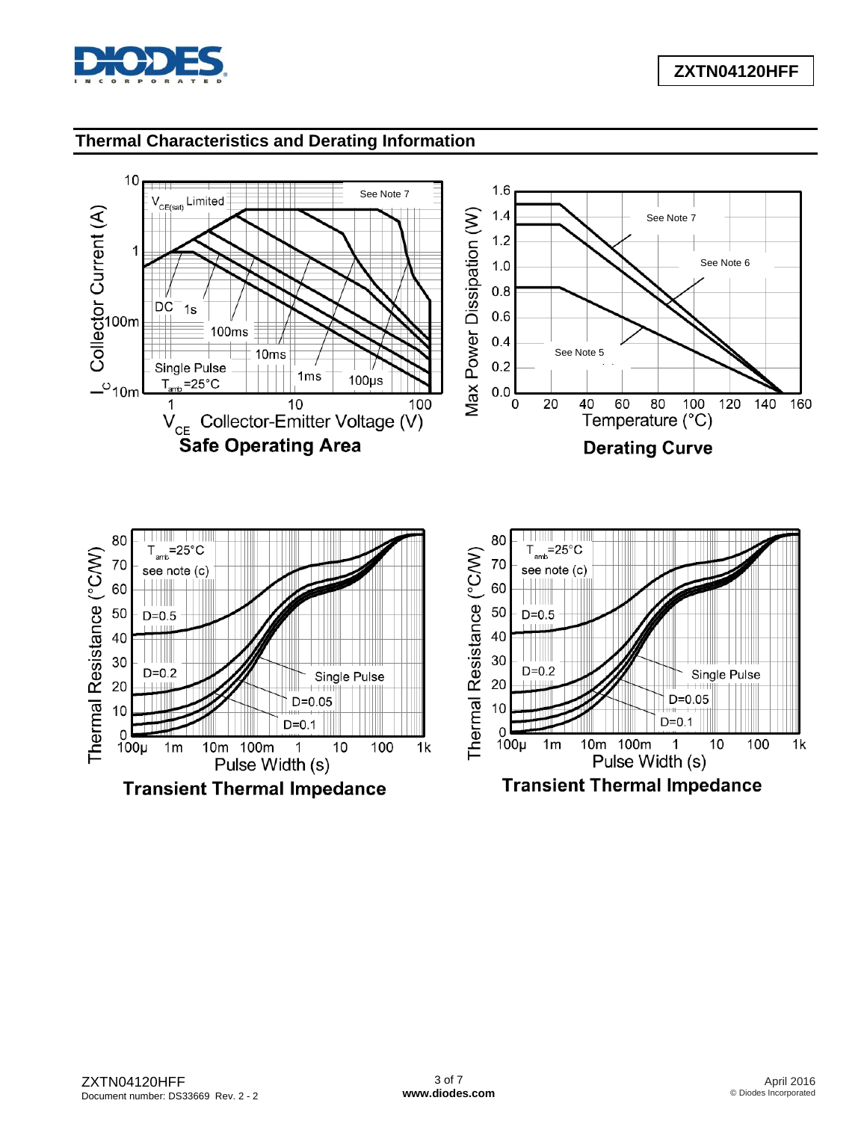

## **Thermal Characteristics and Derating Information**

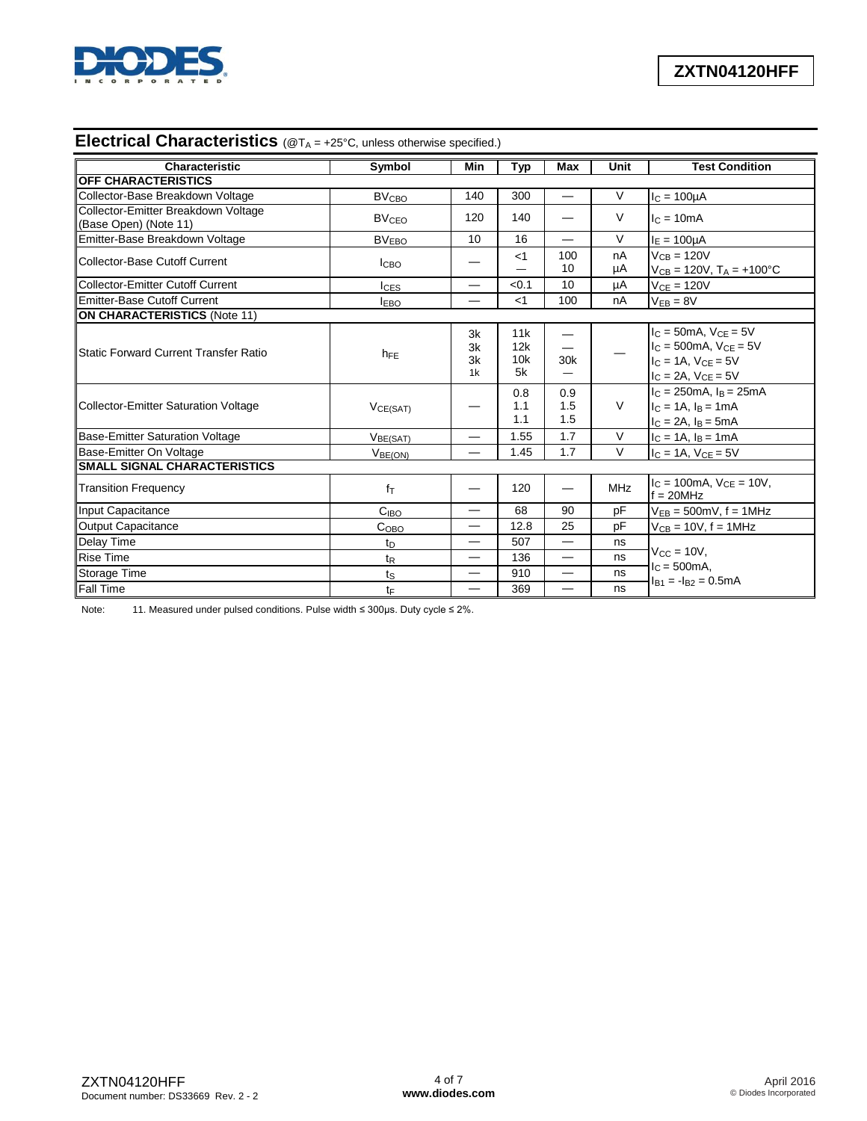

# **Electrical Characteristics** (@T<sub>A</sub> = +25°C, unless otherwise specified.)

| Characteristic                                               | Symbol                  | Min                              | Typ                     | <b>Max</b>               | Unit       | <b>Test Condition</b>                                                                                                    |
|--------------------------------------------------------------|-------------------------|----------------------------------|-------------------------|--------------------------|------------|--------------------------------------------------------------------------------------------------------------------------|
| <b>OFF CHARACTERISTICS</b>                                   |                         |                                  |                         |                          |            |                                                                                                                          |
| Collector-Base Breakdown Voltage                             | <b>BV<sub>CBO</sub></b> | 140                              | 300                     | $\overline{\phantom{0}}$ | V          | $I_C = 100\mu A$                                                                                                         |
| Collector-Emitter Breakdown Voltage<br>(Base Open) (Note 11) | <b>BV<sub>CEO</sub></b> | 120                              | 140                     |                          | $\vee$     | $lc = 10mA$                                                                                                              |
| Emitter-Base Breakdown Voltage                               | <b>BVEBO</b>            | 10                               | 16                      | $\equiv$                 | $\vee$     | $I_E = 100 \mu A$                                                                                                        |
| Collector-Base Cutoff Current                                | <b>I</b> CBO            |                                  | $<$ 1                   | 100<br>10                | nA<br>μA   | $V_{CB} = 120V$<br>$V_{CB} = 120V$ , $T_A = +100^{\circ}C$                                                               |
| Collector-Emitter Cutoff Current                             | $I_{CES}$               |                                  | < 0.1                   | 10                       | μA         | $V_{CE} = 120V$                                                                                                          |
| <b>Emitter-Base Cutoff Current</b>                           | <b>IEBO</b>             |                                  | $<$ 1                   | 100                      | nA         | $V_{EB} = 8V$                                                                                                            |
| <b>ON CHARACTERISTICS (Note 11)</b>                          |                         |                                  |                         |                          |            |                                                                                                                          |
| lStatic Forward Current Transfer Ratio                       | $h_{FE}$                | 3k<br>3k<br>3k<br>1 <sub>k</sub> | 11k<br>12k<br>10k<br>5k | 30 <sub>k</sub>          |            | $IC$ = 50mA, $VCE$ = 5V<br>$I_C = 500 \text{mA}$ , $V_{CF} = 5V$<br>$IC = 1A$ , $VCE = 5V$<br>$I_C = 2A$ , $V_{CE} = 5V$ |
| Collector-Emitter Saturation Voltage                         | VCE(SAT)                |                                  | 0.8<br>1.1<br>1.1       | 0.9<br>1.5<br>1.5        | $\vee$     | $I_C = 250 \text{mA}$ , $I_B = 25 \text{mA}$<br>$I_C = 1A$ , $I_B = 1mA$<br>$I_C = 2A$ , $I_B = 5mA$                     |
| <b>Base-Emitter Saturation Voltage</b>                       | V <sub>BE(SAT)</sub>    | —                                | 1.55                    | 1.7                      | $\vee$     | $I_C = 1A$ , $I_B = 1mA$                                                                                                 |
| Base-Emitter On Voltage                                      | V <sub>BE(ON)</sub>     |                                  | 1.45                    | 1.7                      | V          | $IC = 1A$ , $VCE = 5V$                                                                                                   |
| <b>SMALL SIGNAL CHARACTERISTICS</b>                          |                         |                                  |                         |                          |            |                                                                                                                          |
| <b>Transition Frequency</b>                                  | $f_{\text{T}}$          | —                                | 120                     | —                        | <b>MHz</b> | $IC = 100mA$ , $VCE = 10V$ ,<br>$f = 20MHz$                                                                              |
| <b>Input Capacitance</b>                                     | C <sub>IBO</sub>        | —                                | 68                      | 90                       | pF         | $V_{EB} = 500$ mV, f = 1MHz                                                                                              |
| <b>Output Capacitance</b>                                    | C <sub>OBO</sub>        |                                  | 12.8                    | 25                       | pF         | $V_{CB} = 10V$ , $f = 1MHz$                                                                                              |
| Delay Time                                                   | $t_{\text{D}}$          | $\overline{\phantom{0}}$         | 507                     |                          | ns         |                                                                                                                          |
| <b>Rise Time</b>                                             | t <sub>R</sub>          | –                                | 136                     |                          | ns         | $V_{CC} = 10V$ ,                                                                                                         |
| Storage Time                                                 | $t_{\rm S}$             |                                  | 910                     | $\overline{\phantom{0}}$ | ns         | $IC = 500mA,$<br>$I_{B1} = -I_{B2} = 0.5mA$                                                                              |
| <b>Fall Time</b>                                             | tF                      | —                                | 369                     | $\overline{\phantom{0}}$ | ns         |                                                                                                                          |

Note: 11. Measured under pulsed conditions. Pulse width ≤ 300µs. Duty cycle ≤ 2%.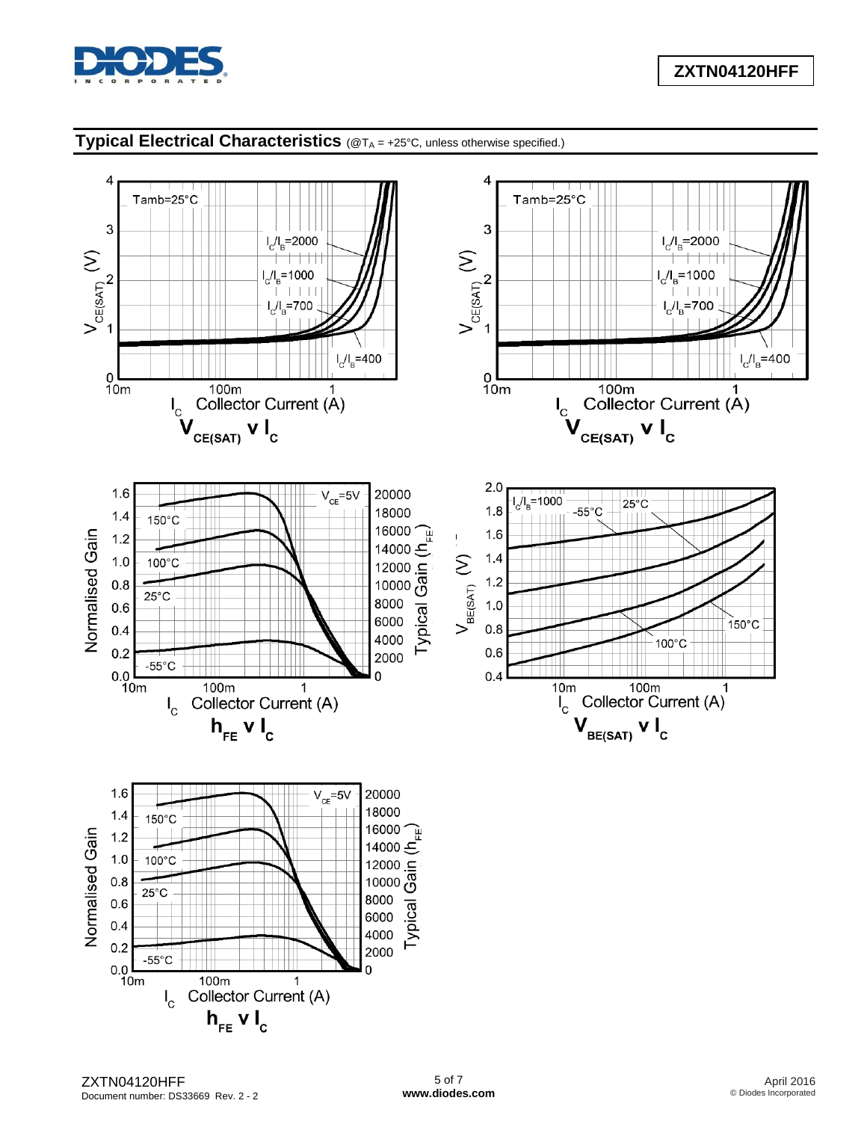

# **Typical Electrical Characteristics** (@TA = +25°C, unless otherwise specified.)

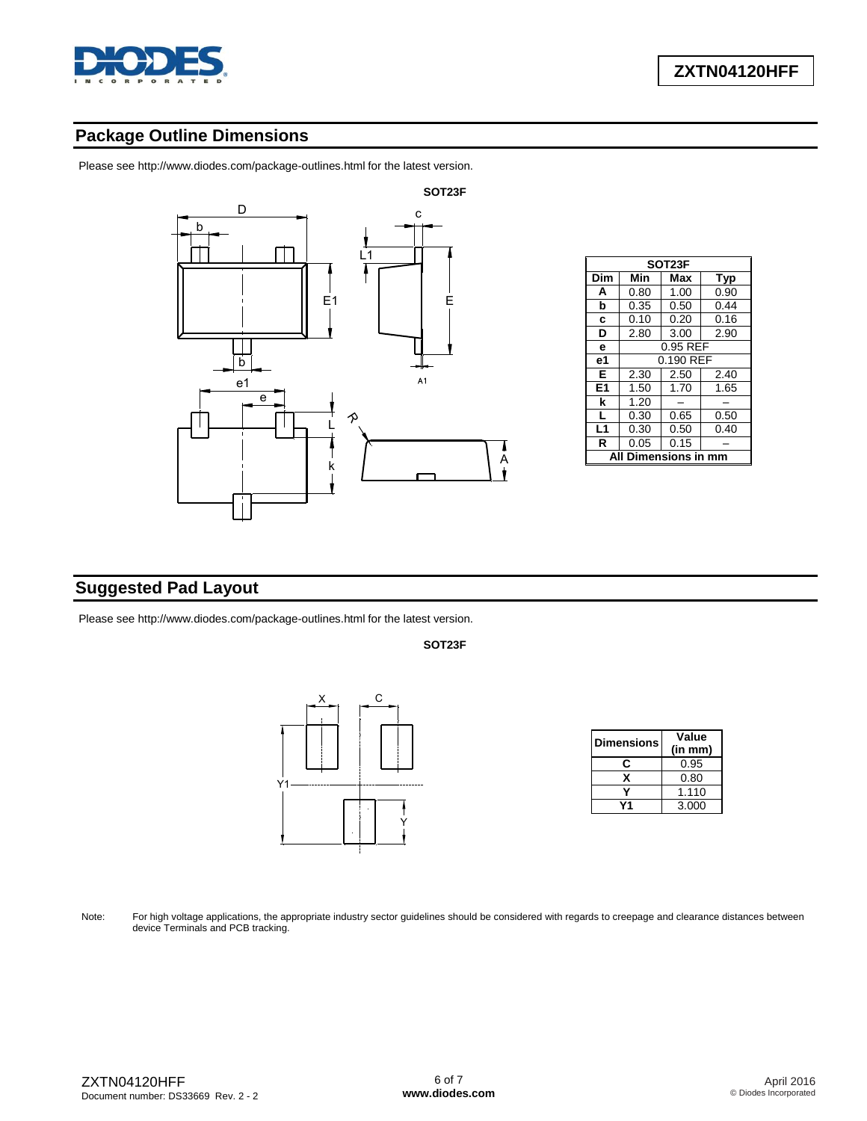

# **Package Outline Dimensions**

Please see <http://www.diodes.com/package-outlines.html> for the latest version.



| SOT23F           |                   |           |      |  |  |  |
|------------------|-------------------|-----------|------|--|--|--|
| Dim              | Min<br>Max<br>Typ |           |      |  |  |  |
| A                | 0.80              | 1.00      | 0.90 |  |  |  |
| b                | 0.35              | 0.50      | 0.44 |  |  |  |
| c                | 0.10              | 0.20      | 0.16 |  |  |  |
| D                | 2.80              | 3.00      | 2.90 |  |  |  |
| e                | 0.95 REF          |           |      |  |  |  |
| е1               |                   | 0.190 REF |      |  |  |  |
| Е                | 2.30              | 2.50      | 2.40 |  |  |  |
| E <sub>1</sub>   | 1.50              | 1.70      | 1.65 |  |  |  |
| k                | 1.20              |           |      |  |  |  |
| L                | 0.30              | 0.65      | 0.50 |  |  |  |
| L1               | 0.30              | 0.50      | 0.40 |  |  |  |
| R                | 0.05              | 0.15      |      |  |  |  |
| Dimensions in mn |                   |           |      |  |  |  |

## **Suggested Pad Layout**

Please see <http://www.diodes.com/package-outlines.html> for the latest version.

**SOT23F**



| <b>Dimensions</b> | Value   |  |  |
|-------------------|---------|--|--|
|                   | (in mm) |  |  |
|                   | 0.95    |  |  |
| x                 | 0.80    |  |  |
|                   | 1.110   |  |  |
|                   | 3.000   |  |  |

Note: For high voltage applications, the appropriate industry sector guidelines should be considered with regards to creepage and clearance distances between device Terminals and PCB tracking.